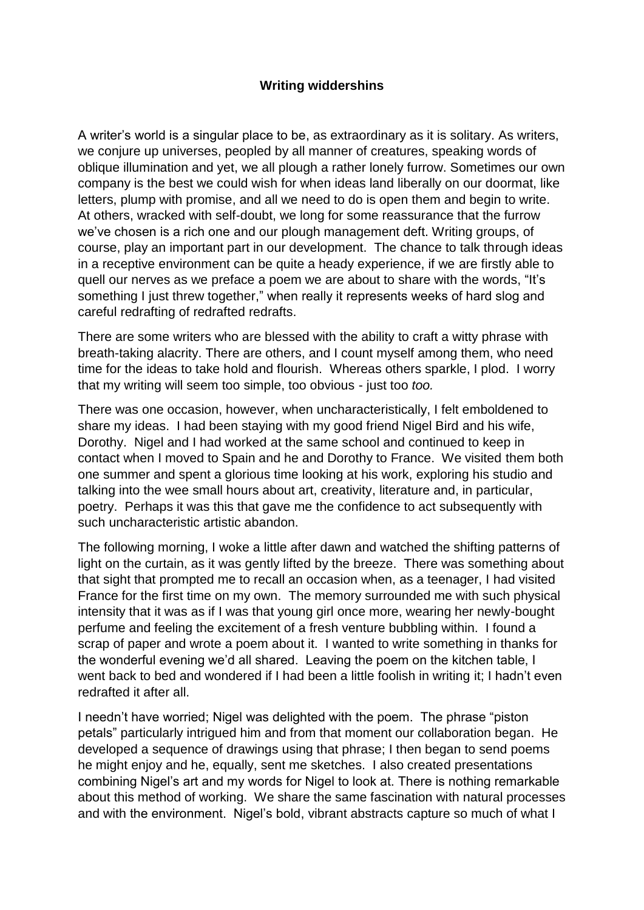## **Writing widdershins**

A writer's world is a singular place to be, as extraordinary as it is solitary. As writers, we conjure up universes, peopled by all manner of creatures, speaking words of oblique illumination and yet, we all plough a rather lonely furrow. Sometimes our own company is the best we could wish for when ideas land liberally on our doormat, like letters, plump with promise, and all we need to do is open them and begin to write. At others, wracked with self-doubt, we long for some reassurance that the furrow we've chosen is a rich one and our plough management deft. Writing groups, of course, play an important part in our development. The chance to talk through ideas in a receptive environment can be quite a heady experience, if we are firstly able to quell our nerves as we preface a poem we are about to share with the words, "It's something I just threw together," when really it represents weeks of hard slog and careful redrafting of redrafted redrafts.

There are some writers who are blessed with the ability to craft a witty phrase with breath-taking alacrity. There are others, and I count myself among them, who need time for the ideas to take hold and flourish. Whereas others sparkle, I plod. I worry that my writing will seem too simple, too obvious - just too *too.*

There was one occasion, however, when uncharacteristically, I felt emboldened to share my ideas. I had been staying with my good friend Nigel Bird and his wife, Dorothy. Nigel and I had worked at the same school and continued to keep in contact when I moved to Spain and he and Dorothy to France. We visited them both one summer and spent a glorious time looking at his work, exploring his studio and talking into the wee small hours about art, creativity, literature and, in particular, poetry. Perhaps it was this that gave me the confidence to act subsequently with such uncharacteristic artistic abandon.

The following morning, I woke a little after dawn and watched the shifting patterns of light on the curtain, as it was gently lifted by the breeze. There was something about that sight that prompted me to recall an occasion when, as a teenager, I had visited France for the first time on my own. The memory surrounded me with such physical intensity that it was as if I was that young girl once more, wearing her newly-bought perfume and feeling the excitement of a fresh venture bubbling within. I found a scrap of paper and wrote a poem about it. I wanted to write something in thanks for the wonderful evening we'd all shared. Leaving the poem on the kitchen table, I went back to bed and wondered if I had been a little foolish in writing it; I hadn't even redrafted it after all.

I needn't have worried; Nigel was delighted with the poem. The phrase "piston petals" particularly intrigued him and from that moment our collaboration began. He developed a sequence of drawings using that phrase; I then began to send poems he might enjoy and he, equally, sent me sketches. I also created presentations combining Nigel's art and my words for Nigel to look at. There is nothing remarkable about this method of working. We share the same fascination with natural processes and with the environment. Nigel's bold, vibrant abstracts capture so much of what I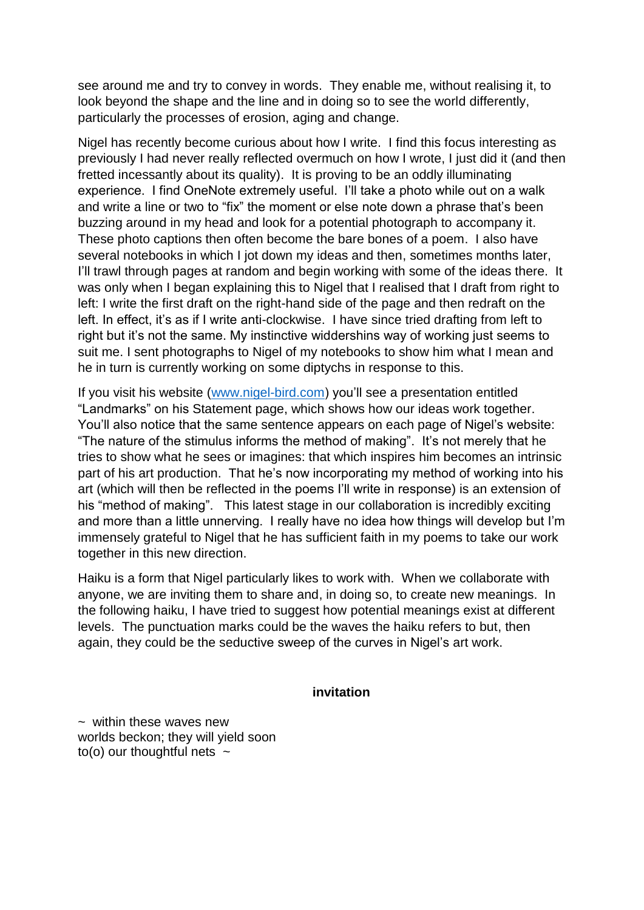see around me and try to convey in words. They enable me, without realising it, to look beyond the shape and the line and in doing so to see the world differently, particularly the processes of erosion, aging and change.

Nigel has recently become curious about how I write. I find this focus interesting as previously I had never really reflected overmuch on how I wrote, I just did it (and then fretted incessantly about its quality). It is proving to be an oddly illuminating experience. I find OneNote extremely useful. I'll take a photo while out on a walk and write a line or two to "fix" the moment or else note down a phrase that's been buzzing around in my head and look for a potential photograph to accompany it. These photo captions then often become the bare bones of a poem. I also have several notebooks in which I jot down my ideas and then, sometimes months later, I'll trawl through pages at random and begin working with some of the ideas there. It was only when I began explaining this to Nigel that I realised that I draft from right to left: I write the first draft on the right-hand side of the page and then redraft on the left. In effect, it's as if I write anti-clockwise. I have since tried drafting from left to right but it's not the same. My instinctive widdershins way of working just seems to suit me. I sent photographs to Nigel of my notebooks to show him what I mean and he in turn is currently working on some diptychs in response to this.

If you visit his website [\(www.nigel-bird.com\)](http://www.nigel-bird.com/) you'll see a presentation entitled "Landmarks" on his Statement page, which shows how our ideas work together. You'll also notice that the same sentence appears on each page of Nigel's website: "The nature of the stimulus informs the method of making". It's not merely that he tries to show what he sees or imagines: that which inspires him becomes an intrinsic part of his art production. That he's now incorporating my method of working into his art (which will then be reflected in the poems I'll write in response) is an extension of his "method of making". This latest stage in our collaboration is incredibly exciting and more than a little unnerving. I really have no idea how things will develop but I'm immensely grateful to Nigel that he has sufficient faith in my poems to take our work together in this new direction.

Haiku is a form that Nigel particularly likes to work with. When we collaborate with anyone, we are inviting them to share and, in doing so, to create new meanings. In the following haiku, I have tried to suggest how potential meanings exist at different levels. The punctuation marks could be the waves the haiku refers to but, then again, they could be the seductive sweep of the curves in Nigel's art work.

## **invitation**

 $\sim$  within these waves new worlds beckon; they will yield soon to(o) our thoughtful nets  $\sim$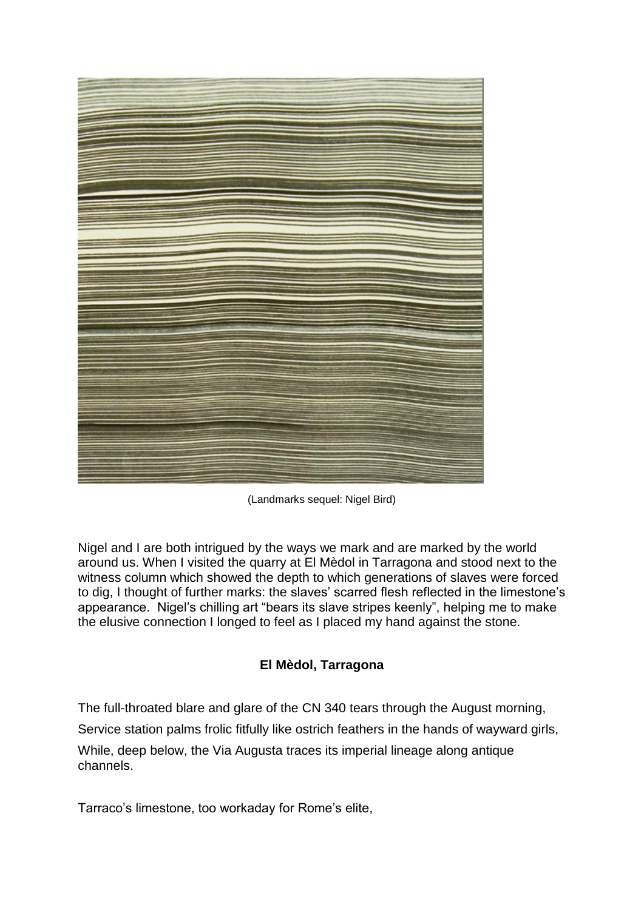

(Landmarks sequel: Nigel Bird)

Nigel and I are both intrigued by the ways we mark and are marked by the world around us. When I visited the quarry at El Mèdol in Tarragona and stood next to the witness column which showed the depth to which generations of slaves were forced to dig, I thought of further marks: the slaves' scarred flesh reflected in the limestone's appearance. Nigel's chilling art "bears its slave stripes keenly", helping me to make the elusive connection I longed to feel as I placed my hand against the stone.

## **El Mèdol, Tarragona**

The full-throated blare and glare of the CN 340 tears through the August morning,

Service station palms frolic fitfully like ostrich feathers in the hands of wayward girls,

While, deep below, the Via Augusta traces its imperial lineage along antique channels.

Tarraco's limestone, too workaday for Rome's elite,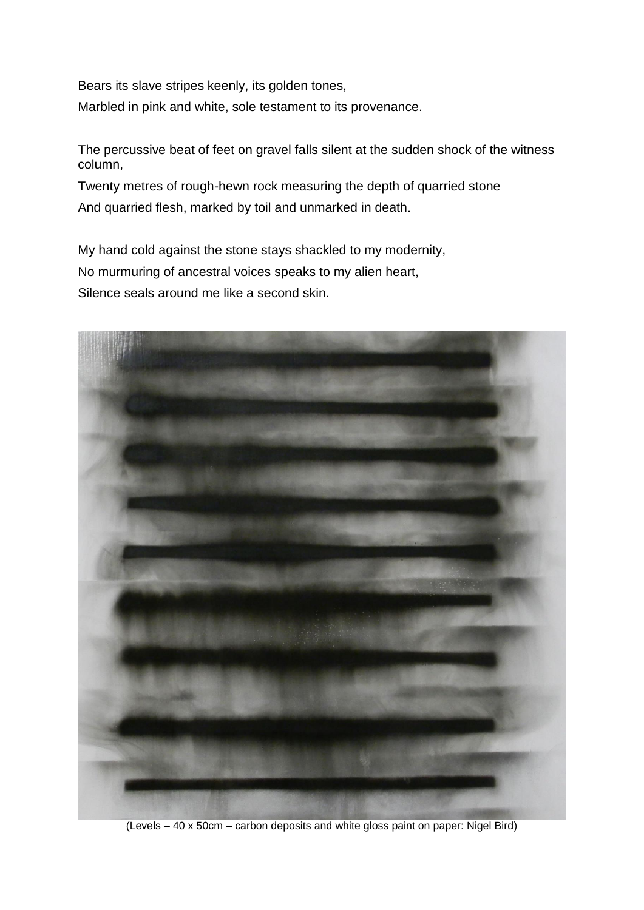Bears its slave stripes keenly, its golden tones, Marbled in pink and white, sole testament to its provenance.

The percussive beat of feet on gravel falls silent at the sudden shock of the witness column,

Twenty metres of rough-hewn rock measuring the depth of quarried stone And quarried flesh, marked by toil and unmarked in death.

My hand cold against the stone stays shackled to my modernity, No murmuring of ancestral voices speaks to my alien heart, Silence seals around me like a second skin.



(Levels – 40 x 50cm – carbon deposits and white gloss paint on paper: Nigel Bird)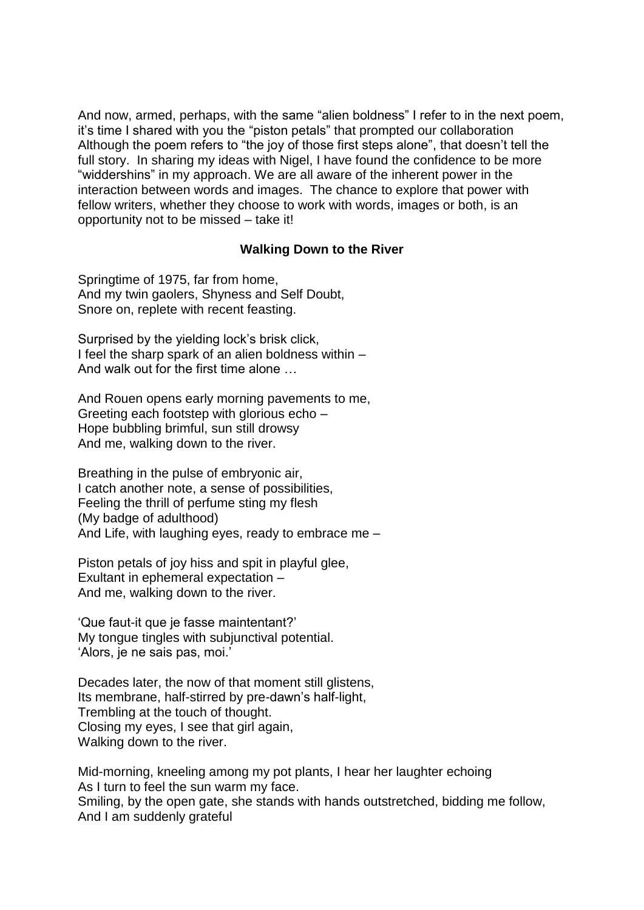And now, armed, perhaps, with the same "alien boldness" I refer to in the next poem, it's time I shared with you the "piston petals" that prompted our collaboration Although the poem refers to "the joy of those first steps alone", that doesn't tell the full story. In sharing my ideas with Nigel, I have found the confidence to be more "widdershins" in my approach. We are all aware of the inherent power in the interaction between words and images. The chance to explore that power with fellow writers, whether they choose to work with words, images or both, is an opportunity not to be missed – take it!

## **Walking Down to the River**

Springtime of 1975, far from home, And my twin gaolers, Shyness and Self Doubt, Snore on, replete with recent feasting.

Surprised by the yielding lock's brisk click, I feel the sharp spark of an alien boldness within – And walk out for the first time alone

And Rouen opens early morning pavements to me, Greeting each footstep with glorious echo – Hope bubbling brimful, sun still drowsy And me, walking down to the river.

Breathing in the pulse of embryonic air, I catch another note, a sense of possibilities, Feeling the thrill of perfume sting my flesh (My badge of adulthood) And Life, with laughing eyes, ready to embrace me –

Piston petals of joy hiss and spit in playful glee, Exultant in ephemeral expectation – And me, walking down to the river.

'Que faut-it que je fasse maintentant?' My tongue tingles with subjunctival potential. 'Alors, je ne sais pas, moi.'

Decades later, the now of that moment still glistens, Its membrane, half-stirred by pre-dawn's half-light, Trembling at the touch of thought. Closing my eyes, I see that girl again, Walking down to the river.

Mid-morning, kneeling among my pot plants, I hear her laughter echoing As I turn to feel the sun warm my face. Smiling, by the open gate, she stands with hands outstretched, bidding me follow, And I am suddenly grateful